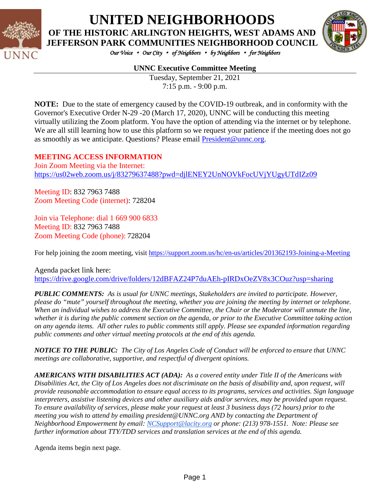

# **UNITED NEIGHBORHOODS**

**OF THE HISTORIC ARLINGTON HEIGHTS, WEST ADAMS AND JEFFERSON PARK COMMUNITIES NEIGHBORHOOD COUNCIL**



*Our Voice* • *Our City* • *of Neighbors* • *by Neighbors* • *for Neighbors* 

#### **UNNC Executive Committee Meeting**

Tuesday, September 21, 2021 7:15 p.m. - 9:00 p.m.

**NOTE:** Due to the state of emergency caused by the COVID-19 outbreak, and in conformity with the Governor's Executive Order N-29 -20 (March 17, 2020), UNNC will be conducting this meeting virtually utilizing the Zoom platform. You have the option of attending via the internet or by telephone. We are all still learning how to use this platform so we request your patience if the meeting does not go as smoothly as we anticipate. Questions? Please email [President@unnc.org.](mailto:President@unnc.org)

#### **MEETING ACCESS INFORMATION**

Join Zoom Meeting via the Internet: <https://us02web.zoom.us/j/83279637488?pwd=djlENEY2UnNOVkFocUVjYUgyUTdIZz09>

Meeting ID: 832 7963 7488 Zoom Meeting Code (internet): 728204

Join via Telephone: dial 1 669 900 6833 Meeting ID: 832 7963 7488 Zoom Meeting Code (phone): 728204

For help joining the zoom meeting, visit <https://support.zoom.us/hc/en-us/articles/201362193-Joining-a-Meeting>

Agenda packet link here: <https://drive.google.com/drive/folders/12dBFAZ24P7duAEh-pIRDxOeZV8x3COuz?usp=sharing>

*PUBLIC COMMENTS: As is usual for UNNC meetings, Stakeholders are invited to participate. However, please do "mute" yourself throughout the meeting, whether you are joining the meeting by internet or telephone. When an individual wishes to address the Executive Committee, the Chair or the Moderator will unmute the line, whether it is during the public comment section on the agenda, or prior to the Executive Committee taking action on any agenda items. All other rules to public comments still apply. Please see expanded information regarding public comments and other virtual meeting protocols at the end of this agenda.*

*NOTICE TO THE PUBLIC: The City of Los Angeles Code of Conduct will be enforced to ensure that UNNC meetings are collaborative, supportive, and respectful of divergent opinions.* 

*AMERICANS WITH DISABILITIES ACT (ADA): As a covered entity under Title II of the Americans with Disabilities Act, the City of Los Angeles does not discriminate on the basis of disability and, upon request, will provide reasonable accommodation to ensure equal access to its programs, services and activities. Sign language interpreters, assistive listening devices and other auxiliary aids and/or services, may be provided upon request. To ensure availability of services, please make your request at least 3 business days (72 hours) prior to the meeting you wish to attend by emailing president@UNNC.org AND by contacting the Department of Neighborhood Empowerment by email: [NCSupport@lacity.org](mailto:NCSupport@lacity.org) or phone: (213) 978-1551. Note: Please see further information about TTY/TDD services and translation services at the end of this agenda.*

Agenda items begin next page*.*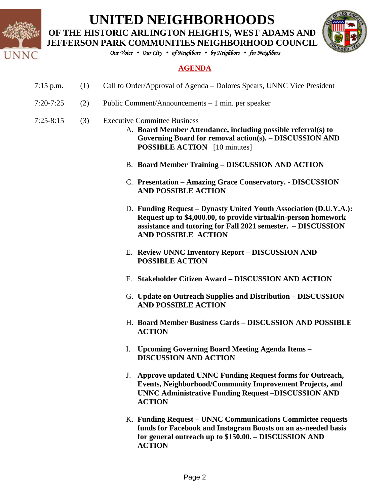

## **UNITED NEIGHBORHOODS**

**OF THE HISTORIC ARLINGTON HEIGHTS, WEST ADAMS AND** 



*Our Voice* • *Our City* • *of Neighbors* • *by Neighbors* • *for Neighbors* 

#### **AGENDA**

- 7:15 p.m. (1) Call to Order/Approval of Agenda Dolores Spears, UNNC Vice President
- 7:20-7:25 (2) Public Comment/Announcements 1 min. per speaker
- 7:25-8:15 (3) Executive Committee Business
	- A. **Board Member Attendance, including possible referral(s) to Governing Board for removal action(s).** – **DISCUSSION AND POSSIBLE ACTION** [10 minutes]
	- B. **Board Member Training – DISCUSSION AND ACTION**
	- C. **Presentation – Amazing Grace Conservatory. - DISCUSSION AND POSSIBLE ACTION**
	- D. **Funding Request – Dynasty United Youth Association (D.U.Y.A.): Request up to \$4,000.00, to provide virtual/in-person homework assistance and tutoring for Fall 2021 semester. – DISCUSSION AND POSSIBLE ACTION**
	- E. **Review UNNC Inventory Report – DISCUSSION AND POSSIBLE ACTION**
	- F. **Stakeholder Citizen Award – DISCUSSION AND ACTION**
	- G. **Update on Outreach Supplies and Distribution – DISCUSSION AND POSSIBLE ACTION**
	- H. **Board Member Business Cards – DISCUSSION AND POSSIBLE ACTION**
	- I. **Upcoming Governing Board Meeting Agenda Items – DISCUSSION AND ACTION**
	- J. **Approve updated UNNC Funding Request forms for Outreach, Events, Neighborhood/Community Improvement Projects, and UNNC Administrative Funding Request –DISCUSSION AND ACTION**
	- K. **Funding Request – UNNC Communications Committee requests funds for Facebook and Instagram Boosts on an as-needed basis for general outreach up to \$150.00. – DISCUSSION AND ACTION**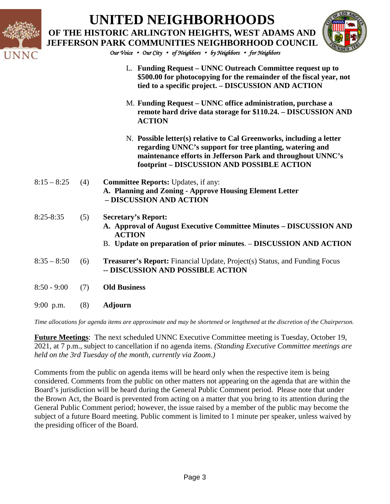|               |     | <b>UNITED NEIGHBORHOODS</b><br>OF THE HISTORIC ARLINGTON HEIGHTS, WEST ADAMS AND<br><b>JEFFERSON PARK COMMUNITIES NEIGHBORHOOD COUNCIL</b><br>Our Voice • Our City • of Neighbors • by Neighbors • for Neighbors                              |
|---------------|-----|-----------------------------------------------------------------------------------------------------------------------------------------------------------------------------------------------------------------------------------------------|
|               |     | L. Funding Request – UNNC Outreach Committee request up to<br>\$500.00 for photocopying for the remainder of the fiscal year, not<br>tied to a specific project. - DISCUSSION AND ACTION                                                      |
|               |     | M. Funding Request – UNNC office administration, purchase a<br>remote hard drive data storage for \$110.24. - DISCUSSION AND<br><b>ACTION</b>                                                                                                 |
|               |     | N. Possible letter(s) relative to Cal Greenworks, including a letter<br>regarding UNNC's support for tree planting, watering and<br>maintenance efforts in Jefferson Park and throughout UNNC's<br>footprint - DISCUSSION AND POSSIBLE ACTION |
| $8:15 - 8:25$ | (4) | <b>Committee Reports: Updates, if any:</b><br>A. Planning and Zoning - Approve Housing Element Letter<br>- DISCUSSION AND ACTION                                                                                                              |
| $8:25 - 8:35$ | (5) | <b>Secretary's Report:</b><br>A. Approval of August Executive Committee Minutes - DISCUSSION AND<br><b>ACTION</b><br>B. Update on preparation of prior minutes. - DISCUSSION AND ACTION                                                       |
| $8:35 - 8:50$ | (6) | <b>Treasurer's Report:</b> Financial Update, Project(s) Status, and Funding Focus<br>-- DISCUSSION AND POSSIBLE ACTION                                                                                                                        |
| $8:50 - 9:00$ | (7) | <b>Old Business</b>                                                                                                                                                                                                                           |
| $9:00$ p.m.   | (8) | <b>Adjourn</b>                                                                                                                                                                                                                                |

*Time allocations for agenda items are approximate and may be shortened or lengthened at the discretion of the Chairperson.*

**Future Meetings**: The next scheduled UNNC Executive Committee meeting is Tuesday, October 19, 2021, at 7 p.m., subject to cancellation if no agenda items. *(Standing Executive Committee meetings are held on the 3rd Tuesday of the month, currently via Zoom.)*

Comments from the public on agenda items will be heard only when the respective item is being considered. Comments from the public on other matters not appearing on the agenda that are within the Board's jurisdiction will be heard during the General Public Comment period. Please note that under the Brown Act, the Board is prevented from acting on a matter that you bring to its attention during the General Public Comment period; however, the issue raised by a member of the public may become the subject of a future Board meeting. Public comment is limited to 1 minute per speaker, unless waived by the presiding officer of the Board.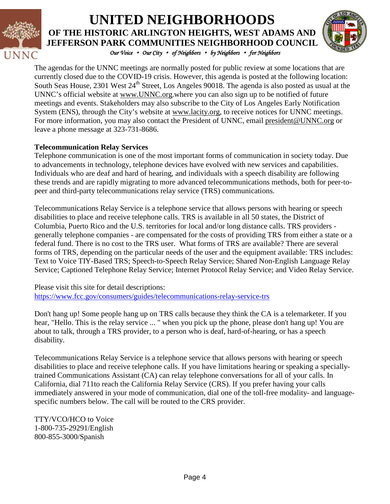

#### *Our Voice* • *Our City* • *of Neighbors* • *by Neighbors* • *for Neighbors*  **UNITED NEIGHBORHOODS OF THE HISTORIC ARLINGTON HEIGHTS, WEST ADAMS AND JEFFERSON PARK COMMUNITIES NEIGHBORHOOD COUNCIL**



The agendas for the UNNC meetings are normally posted for public review at some locations that are currently closed due to the COVID-19 crisis. However, this agenda is posted at the following location: South Seas House, 2301 West 24<sup>th</sup> Street, Los Angeles 90018. The agenda is also posted as usual at the UNNC's official website at [www.UNNC.org.](http://www.unnc.org/)where you can also sign up to be notified of future meetings and events. Stakeholders may also subscribe to the City of Los Angeles Early Notification System (ENS), through the City's website at www.lacity.org, to receive notices for UNNC meetings. For more information, you may also contact the President of UNNC, email [president@UNNC.org](mailto:president@UNNC.org) or leave a phone message at 323-731-8686.

#### **Telecommunication Relay Services**

Telephone communication is one of the most important forms of communication in society today. Due to advancements in technology, telephone devices have evolved with new services and capabilities. Individuals who are deaf and hard of hearing, and individuals with a speech disability are following these trends and are rapidly migrating to more advanced telecommunications methods, both for peer-topeer and third-party telecommunications relay service (TRS) communications.

Telecommunications Relay Service is a telephone service that allows persons with hearing or speech disabilities to place and receive telephone calls. TRS is available in all 50 states, the District of Columbia, Puerto Rico and the U.S. territories for local and/or long distance calls. TRS providers generally telephone companies - are compensated for the costs of providing TRS from either a state or a federal fund. There is no cost to the TRS user. What forms of TRS are available? There are several forms of TRS, depending on the particular needs of the user and the equipment available: TRS includes: Text to Voice TIY-Based TRS; Speech-to-Speech Relay Service; Shared Non-English Language Relay Service; Captioned Telephone Relay Service; Internet Protocol Relay Service; and Video Relay Service.

Please visit this site for detail descriptions: <https://www.fcc.gov/consumers/guides/telecommunications-relay-service-trs>

Don't hang up! Some people hang up on TRS calls because they think the CA is a telemarketer. If you hear, "Hello. This is the relay service ... " when you pick up the phone, please don't hang up! You are about to talk, through a TRS provider, to a person who is deaf, hard-of-hearing, or has a speech disability.

Telecommunications Relay Service is a telephone service that allows persons with hearing or speech disabilities to place and receive telephone calls. If you have limitations hearing or speaking a speciallytrained Communications Assistant (CA) can relay telephone conversations for all of your calls. In California, dial 711to reach the California Relay Service (CRS). If you prefer having your calls immediately answered in your mode of communication, dial one of the toll-free modality- and languagespecific numbers below. The call will be routed to the CRS provider.

TTY/VCO/HCO to Voice 1-800-735-29291/English 800-855-3000/Spanish